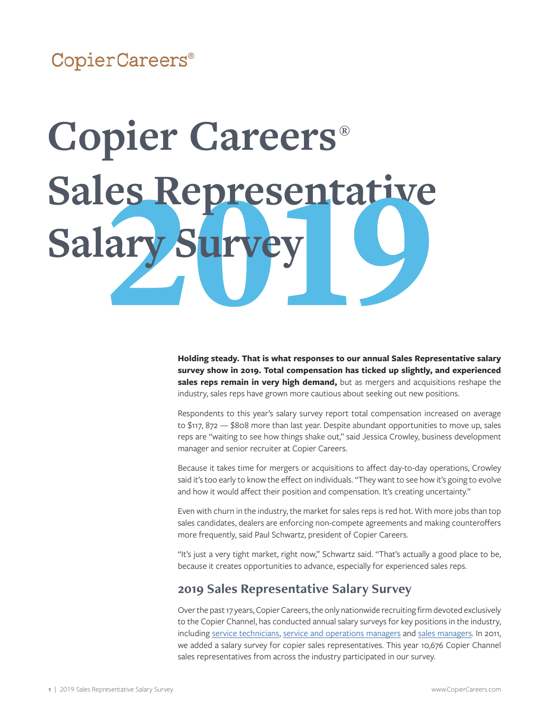### CopierCareers®

# **Copier Careers® Sales Representative** Salary

**Holding steady. That is what responses to our annual Sales Representative salary survey show in 2019. Total compensation has ticked up slightly, and experienced sales reps remain in very high demand,** but as mergers and acquisitions reshape the industry, sales reps have grown more cautious about seeking out new positions.

Respondents to this year's salary survey report total compensation increased on average to \$117, 872 — \$808 more than last year. Despite abundant opportunities to move up, sales reps are "waiting to see how things shake out," said Jessica Crowley, business development manager and senior recruiter at Copier Careers.

Because it takes time for mergers or acquisitions to affect day-to-day operations, Crowley said it's too early to know the effect on individuals. "They want to see how it's going to evolve and how it would affect their position and compensation. It's creating uncertainty."

Even with churn in the industry, the market for sales reps is red hot. With more jobs than top sales candidates, dealers are enforcing non-compete agreements and making counteroffers more frequently, said Paul Schwartz, president of Copier Careers.

"It's just a very tight market, right now," Schwartz said. "That's actually a good place to be, because it creates opportunities to advance, especially for experienced sales reps.

#### **2019 Sales Representative Salary Survey**

Over the past 17 years, Copier Careers, the only nationwide recruiting firm devoted exclusively to the Copier Channel, has conducted annual salary surveys for key positions in the industry, including [service technicians](http://copiercareers.com/copier-channel/salary-surveys/copier-careers-2019-service-technician-salary-survey/), [service and operations managers](http://copiercareers.com/copier-channel/salary-surveys/2019-service-and-operations-manager-salary-survey/) and [sales managers.](http://copiercareers.com/copier-channel/salary-surveys/copier-careers-2019-sales-manager-salary-survey/) In 2011, we added a salary survey for copier sales representatives. This year 10,676 Copier Channel sales representatives from across the industry participated in our survey.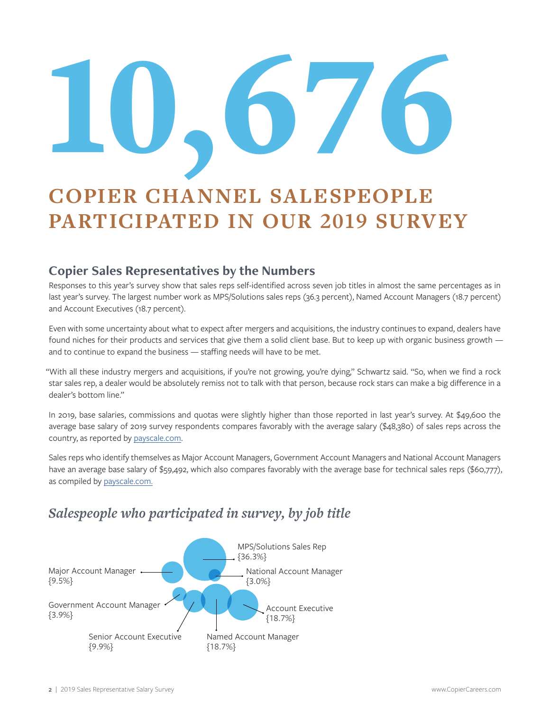# 10,676

# **COPIER CHANNEL SALESPEOPLE PARTICIPATED IN OUR 2019 SURVEY**

#### **Copier Sales Representatives by the Numbers**

Responses to this year's survey show that sales reps self-identified across seven job titles in almost the same percentages as in last year's survey. The largest number work as MPS/Solutions sales reps (36.3 percent), Named Account Managers (18.7 percent) and Account Executives (18.7 percent).

Even with some uncertainty about what to expect after mergers and acquisitions, the industry continues to expand, dealers have found niches for their products and services that give them a solid client base. But to keep up with organic business growth and to continue to expand the business — staffing needs will have to be met.

"With all these industry mergers and acquisitions, if you're not growing, you're dying," Schwartz said. "So, when we find a rock star sales rep, a dealer would be absolutely remiss not to talk with that person, because rock stars can make a big difference in a dealer's bottom line."

In 2019, base salaries, commissions and quotas were slightly higher than those reported in last year's survey. At \$49,600 the average base salary of 2019 survey respondents compares favorably with the average salary (\$48,380) of sales reps across the country, as reported by [payscale.com.](https://www.payscale.com/research/US/Job=Sales_Representative/Salary)

Sales reps who identify themselves as Major Account Managers, Government Account Managers and National Account Managers have an average base salary of \$59,492, which also compares favorably with the average base for technical sales reps (\$60,777), as compiled by [payscale.com.](https://www.payscale.com/research/US/Job=Technical_Sales_Representative_(TSR)/Salary)

#### *Salespeople who participated in survey, by job title*

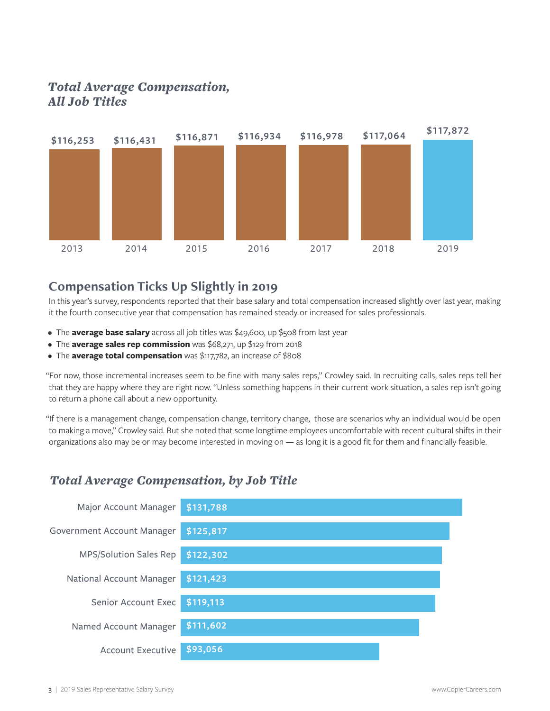#### *Total Average Compensation, All Job Titles*



#### **Compensation Ticks Up Slightly in 2019**

In this year's survey, respondents reported that their base salary and total compensation increased slightly over last year, making it the fourth consecutive year that compensation has remained steady or increased for sales professionals.

- The **average base salary** across all job titles was \$49,600, up \$508 from last year
- The **average sales rep commission** was \$68,271, up \$129 from 2018
- The **average total compensation** was \$117,782, an increase of \$808

"For now, those incremental increases seem to be fine with many sales reps," Crowley said. In recruiting calls, sales reps tell her that they are happy where they are right now. "Unless something happens in their current work situation, a sales rep isn't going to return a phone call about a new opportunity.

"If there is a management change, compensation change, territory change, those are scenarios why an individual would be open to making a move," Crowley said. But she noted that some longtime employees uncomfortable with recent cultural shifts in their organizations also may be or may become interested in moving on — as long it is a good fit for them and financially feasible.

#### *Total Average Compensation, by Job Title*

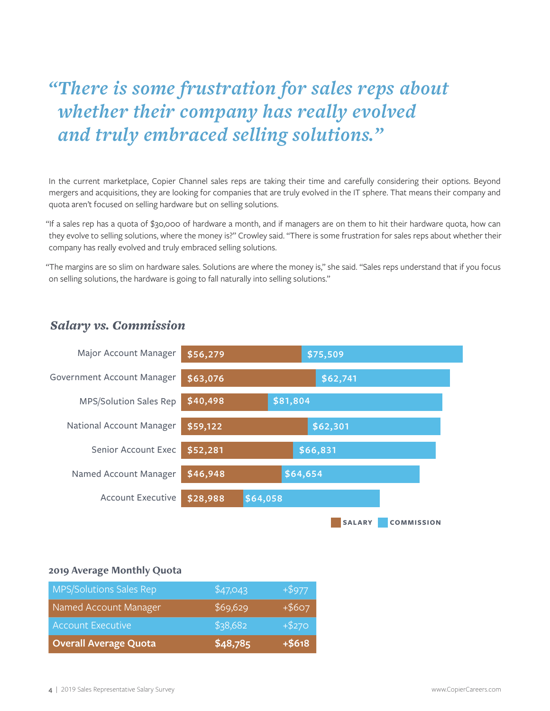# *"There is some frustration for sales reps about whether their company has really evolved and truly embraced selling solutions."*

In the current marketplace, Copier Channel sales reps are taking their time and carefully considering their options. Beyond mergers and acquisitions, they are looking for companies that are truly evolved in the IT sphere. That means their company and quota aren't focused on selling hardware but on selling solutions.

"If a sales rep has a quota of \$30,000 of hardware a month, and if managers are on them to hit their hardware quota, how can they evolve to selling solutions, where the money is?" Crowley said. "There is some frustration for sales reps about whether their company has really evolved and truly embraced selling solutions.

"The margins are so slim on hardware sales. Solutions are where the money is," she said. "Sales reps understand that if you focus on selling solutions, the hardware is going to fall naturally into selling solutions."



#### *Salary vs. Commission*

#### **2019 Average Monthly Quota**

| <b>MPS/Solutions Sales Rep</b> | \$47,043 | $+ $977$ |
|--------------------------------|----------|----------|
| Named Account Manager          | \$69,629 | $+ $607$ |
| <b>Account Executive</b>       | \$38,682 | $+ $270$ |
| <b>Overall Average Quota</b>   | \$48,785 | $+ $618$ |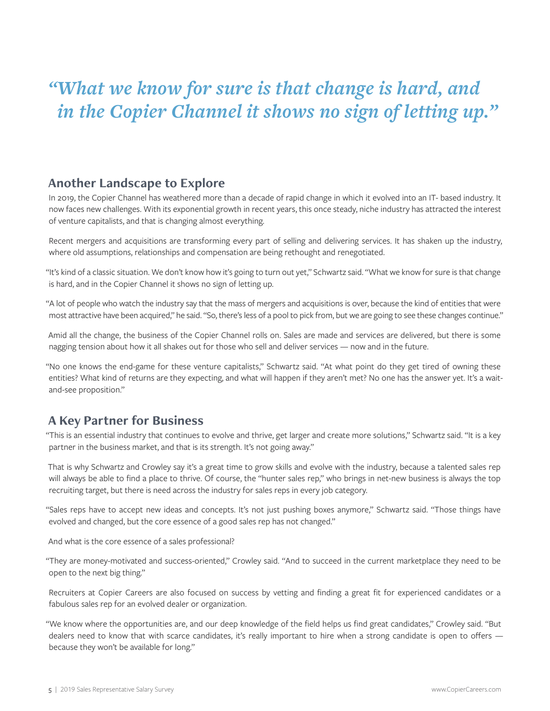# *"What we know for sure is that change is hard, and in the Copier Channel it shows no sign of letting up."*

#### **Another Landscape to Explore**

In 2019, the Copier Channel has weathered more than a decade of rapid change in which it evolved into an IT- based industry. It now faces new challenges. With its exponential growth in recent years, this once steady, niche industry has attracted the interest of venture capitalists, and that is changing almost everything.

Recent mergers and acquisitions are transforming every part of selling and delivering services. It has shaken up the industry, where old assumptions, relationships and compensation are being rethought and renegotiated.

"It's kind of a classic situation. We don't know how it's going to turn out yet," Schwartz said. "What we know for sure is that change is hard, and in the Copier Channel it shows no sign of letting up.

"A lot of people who watch the industry say that the mass of mergers and acquisitions is over, because the kind of entities that were most attractive have been acquired," he said. "So, there's less of a pool to pick from, but we are going to see these changes continue."

Amid all the change, the business of the Copier Channel rolls on. Sales are made and services are delivered, but there is some nagging tension about how it all shakes out for those who sell and deliver services — now and in the future.

"No one knows the end-game for these venture capitalists," Schwartz said. "At what point do they get tired of owning these entities? What kind of returns are they expecting, and what will happen if they aren't met? No one has the answer yet. It's a waitand-see proposition."

#### **A Key Partner for Business**

"This is an essential industry that continues to evolve and thrive, get larger and create more solutions," Schwartz said. "It is a key partner in the business market, and that is its strength. It's not going away."

That is why Schwartz and Crowley say it's a great time to grow skills and evolve with the industry, because a talented sales rep will always be able to find a place to thrive. Of course, the "hunter sales rep," who brings in net-new business is always the top recruiting target, but there is need across the industry for sales reps in every job category.

"Sales reps have to accept new ideas and concepts. It's not just pushing boxes anymore," Schwartz said. "Those things have evolved and changed, but the core essence of a good sales rep has not changed."

And what is the core essence of a sales professional?

"They are money-motivated and success-oriented," Crowley said. "And to succeed in the current marketplace they need to be open to the next big thing."

Recruiters at Copier Careers are also focused on success by vetting and finding a great fit for experienced candidates or a fabulous sales rep for an evolved dealer or organization.

"We know where the opportunities are, and our deep knowledge of the field helps us find great candidates," Crowley said. "But dealers need to know that with scarce candidates, it's really important to hire when a strong candidate is open to offers because they won't be available for long."